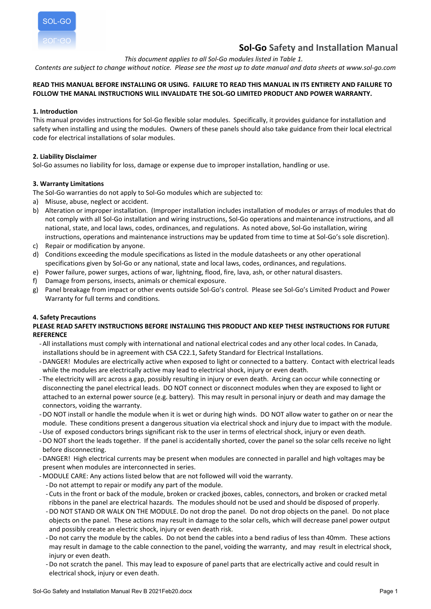

# **Sol-Go Safety and Installation Manual**

*This document applies to all Sol-Go modules listed in Table 1.*

Contents are subject to change without notice. Please see the most up to date manual and data sheets at www.sol-go.com

## READ THIS MANUAL BEFORE INSTALLING OR USING. FAILURE TO READ THIS MANUAL IN ITS ENTIRETY AND FAILURE TO **FOLLOW THE MANAL INSTRUCTIONS WILL INVALIDATE THE SOL-GO LIMITED PRODUCT AND POWER WARRANTY.**

## **1. Introduction**

This manual provides instructions for Sol-Go flexible solar modules. Specifically, it provides guidance for installation and safety when installing and using the modules. Owners of these panels should also take guidance from their local electrical code for electrical installations of solar modules.

## **2. Liability Disclaimer**

Sol-Go assumes no liability for loss, damage or expense due to improper installation, handling or use.

## **3. Warranty Limitations**

The Sol-Go warranties do not apply to Sol-Go modules which are subjected to:

- a) Misuse, abuse, neglect or accident.
- b) Alteration or improper installation. (Improper installation includes installation of modules or arrays of modules that do not comply with all Sol-Go installation and wiring instructions, Sol-Go operations and maintenance instructions, and all national, state, and local laws, codes, ordinances, and regulations. As noted above, Sol-Go installation, wiring instructions, operations and maintenance instructions may be updated from time to time at Sol-Go's sole discretion).
- c) Repair or modification by anyone.
- d) Conditions exceeding the module specifications as listed in the module datasheets or any other operational specifications given by Sol-Go or any national, state and local laws, codes, ordinances, and regulations.
- e) Power failure, power surges, actions of war, lightning, flood, fire, lava, ash, or other natural disasters.
- f) Damage from persons, insects, animals or chemical exposure.
- g) Panel breakage from impact or other events outside Sol-Go's control. Please see Sol-Go's Limited Product and Power Warranty for full terms and conditions.

## **4. Safety Precautions**

## **PLEASE READ SAFETY INSTRUCTIONS BEFORE INSTALLING THIS PRODUCT AND KEEP THESE INSTRUCTIONS FOR FUTURE REFERENCE**

- -All installations must comply with international and national electrical codes and any other local codes. In Canada, installations should be in agreement with CSA C22.1, Safety Standard for Electrical Installations.
- -DANGER! Modules are electrically active when exposed to light or connected to a battery. Contact with electrical leads while the modules are electrically active may lead to electrical shock, injury or even death.
- The electricity will arc across a gap, possibly resulting in injury or even death. Arcing can occur while connecting or disconnecting the panel electrical leads. DO NOT connect or disconnect modules when they are exposed to light or attached to an external power source (e.g. battery). This may result in personal injury or death and may damage the connectors, voiding the warranty.
- -DO NOT install or handle the module when it is wet or during high winds. DO NOT allow water to gather on or near the module. These conditions present a dangerous situation via electrical shock and injury due to impact with the module.
- -Use of exposed conductors brings significant risk to the user in terms of electrical shock, injury or even death.
- -DO NOT short the leads together. If the panel is accidentally shorted, cover the panel so the solar cells receive no light before disconnecting.
- -DANGER! High electrical currents may be present when modules are connected in parallel and high voltages may be present when modules are interconnected in series.
- MODULE CARE: Any actions listed below that are not followed will void the warranty.
	- -Do not attempt to repair or modify any part of the module.
	- Cuts in the front or back of the module, broken or cracked jboxes, cables, connectors, and broken or cracked metal ribbons in the panel are electrical hazards. The modules should not be used and should be disposed of properly.
	- -DO NOT STAND OR WALK ON THE MODULE. Do not drop the panel. Do not drop objects on the panel. Do not place objects on the panel. These actions may result in damage to the solar cells, which will decrease panel power output and possibly create an electric shock, injury or even death risk.
	- -Do not carry the module by the cables. Do not bend the cables into a bend radius of less than 40mm. These actions may result in damage to the cable connection to the panel, voiding the warranty, and may result in electrical shock, injury or even death.
	- -Do not scratch the panel. This may lead to exposure of panel parts that are electrically active and could result in electrical shock, injury or even death.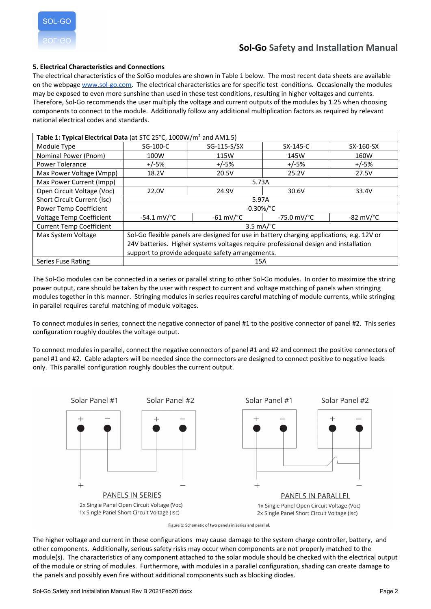

## **5. Electrical Characteristics and Connections**

The electrical characteristics of the SolGo modules are shown in Table 1 below. The most recent data sheets are available on the webpage [www.sol-go.com.](http://www.sol-go.com) The electrical characteristics are for specific test conditions. Occasionally the modules may be exposed to even more sunshine than used in these test conditions, resulting in higher voltages and currents. Therefore, Sol-Go recommends the user multiply the voltage and current outputs of the modules by 1.25 when choosing components to connect to the module. Additionally follow any additional multiplication factors as required by relevant national electrical codes and standards.

| Table 1: Typical Electrical Data (at STC 25°C, 1000W/m <sup>2</sup> and AM1.5) |                                                                                           |                        |                          |                       |
|--------------------------------------------------------------------------------|-------------------------------------------------------------------------------------------|------------------------|--------------------------|-----------------------|
| Module Type                                                                    | SG-100-C                                                                                  | SG-115-S/SX            | SX-145-C                 | SX-160-SX             |
| Nominal Power (Pnom)                                                           | 100W                                                                                      | 115W                   | 145W                     | 160W                  |
| Power Tolerance                                                                | $+/-5%$                                                                                   | $+/-5%$                | $+/-5%$                  | $+/-5%$               |
| Max Power Voltage (Vmpp)                                                       | 18.2V                                                                                     | 20.5V                  | 25.2V                    | 27.5V                 |
| Max Power Current (Impp)                                                       | 5.73A                                                                                     |                        |                          |                       |
| Open Circuit Voltage (Voc)                                                     | 22.0V                                                                                     | 24.9V                  | 30.6V                    | 33.4V                 |
| Short Circuit Current (Isc)                                                    | 5.97A                                                                                     |                        |                          |                       |
| Power Temp Coefficient                                                         | $-0.30\%/^{\circ}C$                                                                       |                        |                          |                       |
| Voltage Temp Coefficient                                                       | $-54.1$ mV/ $^{\circ}$ C                                                                  | $-61$ mV/ $^{\circ}$ C | $-75.0$ mV/ $^{\circ}$ C | $-82$ mV/ $\degree$ C |
| <b>Current Temp Coefficient</b>                                                | $3.5 \text{ mA}$ <sup>°</sup> C                                                           |                        |                          |                       |
| Max System Voltage                                                             | Sol-Go flexible panels are designed for use in battery charging applications, e.g. 12V or |                        |                          |                       |
|                                                                                | 24V batteries. Higher systems voltages require professional design and installation       |                        |                          |                       |
|                                                                                | support to provide adequate safety arrangements.                                          |                        |                          |                       |
| Series Fuse Rating                                                             | 15A                                                                                       |                        |                          |                       |

The Sol-Go modules can be connected in a series or parallel string to other Sol-Go modules. In order to maximize the string power output, care should be taken by the user with respect to current and voltage matching of panels when stringing modules together in this manner. Stringing modules in series requires careful matching of module currents, while stringing in parallel requires careful matching of module voltages.

To connect modules in series, connect the negative connector of panel #1 to the positive connector of panel #2. This series configuration roughly doubles the voltage output.

To connect modules in parallel, connect the negative connectors of panel #1 and #2 and connect the positive connectors of panel #1 and #2. Cable adapters will be needed since the connectors are designed to connect positive to negative leads only. This parallel configuration roughly doubles the current output.



Figure 1: Schematic of two panels in series and parallel.

The higher voltage and current in these configurations may cause damage to the system charge controller, battery, and other components. Additionally, serious safety risks may occur when components are not properly matched to the module(s). The characteristics of any component attached to the solar module should be checked with the electrical output of the module or string of modules. Furthermore, with modules in a parallel configuration, shading can create damage to the panels and possibly even fire without additional components such as blocking diodes.